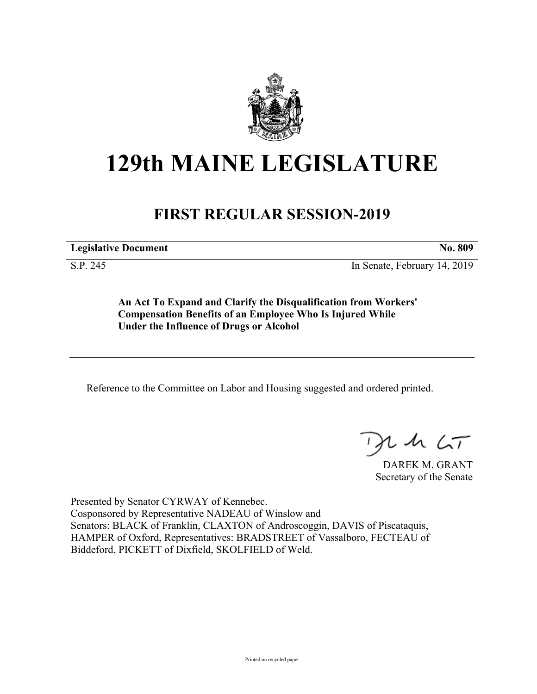

# **129th MAINE LEGISLATURE**

# **FIRST REGULAR SESSION-2019**

**Legislative Document No. 809**

S.P. 245 In Senate, February 14, 2019

**An Act To Expand and Clarify the Disqualification from Workers' Compensation Benefits of an Employee Who Is Injured While Under the Influence of Drugs or Alcohol**

Reference to the Committee on Labor and Housing suggested and ordered printed.

 $125$ 

DAREK M. GRANT Secretary of the Senate

Presented by Senator CYRWAY of Kennebec. Cosponsored by Representative NADEAU of Winslow and Senators: BLACK of Franklin, CLAXTON of Androscoggin, DAVIS of Piscataquis, HAMPER of Oxford, Representatives: BRADSTREET of Vassalboro, FECTEAU of Biddeford, PICKETT of Dixfield, SKOLFIELD of Weld.